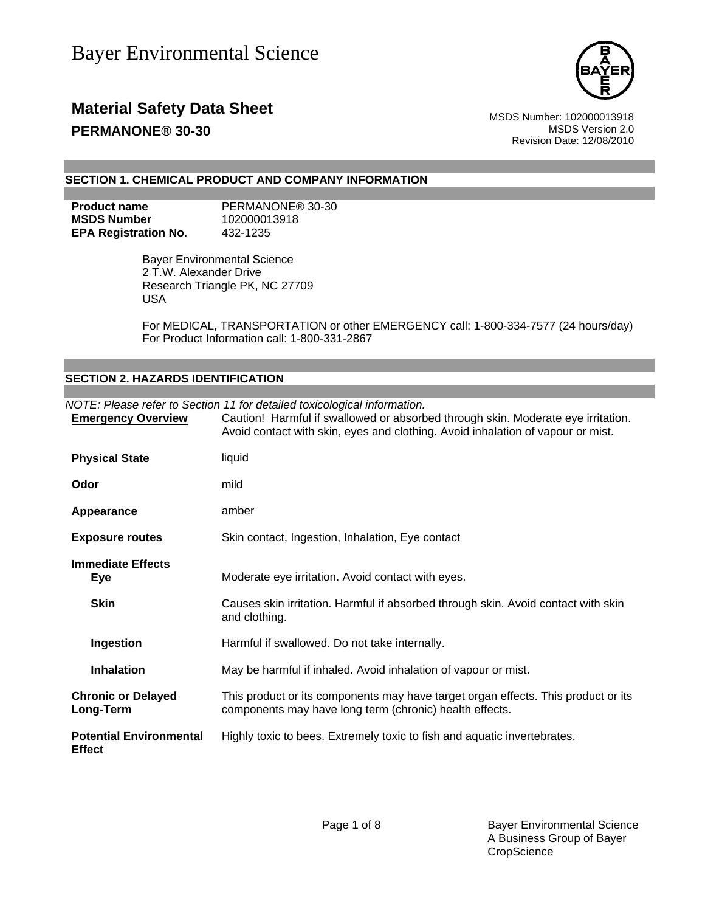

### **Material Safety Data Sheet** MSDS Number: 102000013918 **PERMANONE® 30-30 MSDS** Version 2.0

Revision Date: 12/08/2010

### **SECTION 1. CHEMICAL PRODUCT AND COMPANY INFORMATION**

**MSDS Number** 102000013918 **EPA Registration No.** 432-1235

**Product name** PERMANONE® 30-30

Bayer Environmental Science 2 T.W. Alexander Drive Research Triangle PK, NC 27709 USA

For MEDICAL, TRANSPORTATION or other EMERGENCY call: 1-800-334-7577 (24 hours/day) For Product Information call: 1-800-331-2867

### **SECTION 2. HAZARDS IDENTIFICATION**

| <b>Emergency Overview</b>                       | NOTE: Please refer to Section 11 for detailed toxicological information.<br>Caution! Harmful if swallowed or absorbed through skin. Moderate eye irritation.<br>Avoid contact with skin, eyes and clothing. Avoid inhalation of vapour or mist. |
|-------------------------------------------------|-------------------------------------------------------------------------------------------------------------------------------------------------------------------------------------------------------------------------------------------------|
| <b>Physical State</b>                           | liquid                                                                                                                                                                                                                                          |
| Odor                                            | mild                                                                                                                                                                                                                                            |
| Appearance                                      | amber                                                                                                                                                                                                                                           |
| <b>Exposure routes</b>                          | Skin contact, Ingestion, Inhalation, Eye contact                                                                                                                                                                                                |
| <b>Immediate Effects</b><br><b>Eye</b>          | Moderate eye irritation. Avoid contact with eyes.                                                                                                                                                                                               |
| <b>Skin</b>                                     | Causes skin irritation. Harmful if absorbed through skin. Avoid contact with skin<br>and clothing.                                                                                                                                              |
| Ingestion                                       | Harmful if swallowed. Do not take internally.                                                                                                                                                                                                   |
| <b>Inhalation</b>                               | May be harmful if inhaled. Avoid inhalation of vapour or mist.                                                                                                                                                                                  |
| <b>Chronic or Delayed</b><br>Long-Term          | This product or its components may have target organ effects. This product or its<br>components may have long term (chronic) health effects.                                                                                                    |
| <b>Potential Environmental</b><br><b>Effect</b> | Highly toxic to bees. Extremely toxic to fish and aquatic invertebrates.                                                                                                                                                                        |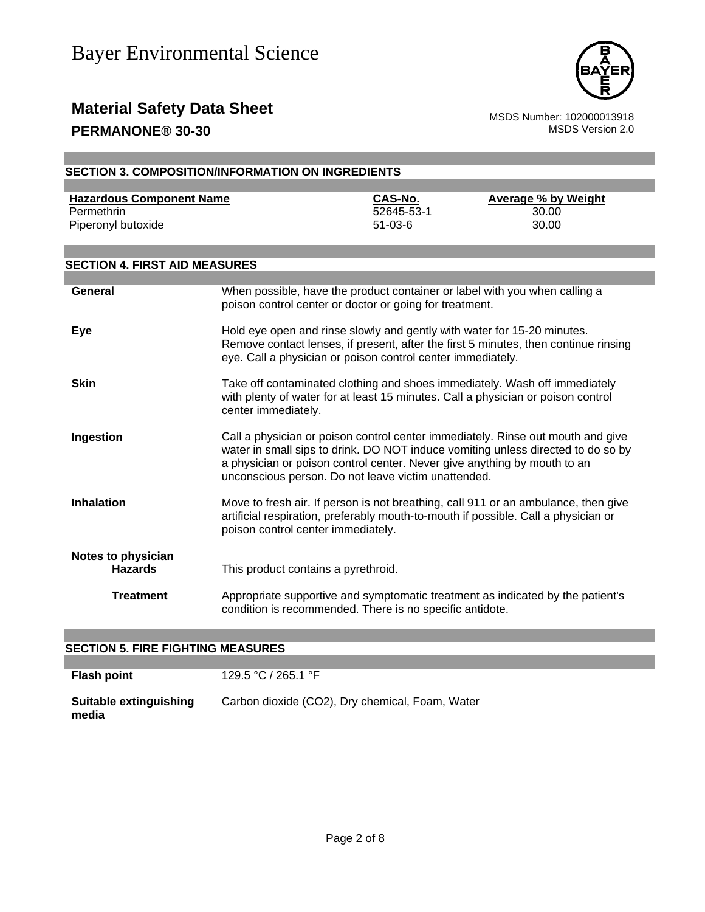

### **Material Safety Data Sheet**<br>MSDS Number: 102000013918<br>MSDS Version 2.0 **PERMANONE® 30-30**

| <b>SECTION 3. COMPOSITION/INFORMATION ON INGREDIENTS</b> |                                                                                                                                        |                             |                                                                                                                                                                          |
|----------------------------------------------------------|----------------------------------------------------------------------------------------------------------------------------------------|-----------------------------|--------------------------------------------------------------------------------------------------------------------------------------------------------------------------|
| <b>Hazardous Component Name</b>                          |                                                                                                                                        | CAS-No.                     | <b>Average % by Weight</b>                                                                                                                                               |
| Permethrin<br>Piperonyl butoxide                         |                                                                                                                                        | 52645-53-1<br>$51 - 03 - 6$ | 30.00<br>30.00                                                                                                                                                           |
| <b>SECTION 4. FIRST AID MEASURES</b>                     |                                                                                                                                        |                             |                                                                                                                                                                          |
|                                                          |                                                                                                                                        |                             |                                                                                                                                                                          |
| <b>General</b>                                           | poison control center or doctor or going for treatment.                                                                                |                             | When possible, have the product container or label with you when calling a                                                                                               |
| Eye                                                      | Hold eye open and rinse slowly and gently with water for 15-20 minutes.<br>eye. Call a physician or poison control center immediately. |                             | Remove contact lenses, if present, after the first 5 minutes, then continue rinsing                                                                                      |
| <b>Skin</b>                                              | center immediately.                                                                                                                    |                             | Take off contaminated clothing and shoes immediately. Wash off immediately<br>with plenty of water for at least 15 minutes. Call a physician or poison control           |
| Ingestion                                                | a physician or poison control center. Never give anything by mouth to an<br>unconscious person. Do not leave victim unattended.        |                             | Call a physician or poison control center immediately. Rinse out mouth and give<br>water in small sips to drink. DO NOT induce vomiting unless directed to do so by      |
| <b>Inhalation</b>                                        | poison control center immediately.                                                                                                     |                             | Move to fresh air. If person is not breathing, call 911 or an ambulance, then give<br>artificial respiration, preferably mouth-to-mouth if possible. Call a physician or |
| <b>Notes to physician</b><br><b>Hazards</b>              | This product contains a pyrethroid.                                                                                                    |                             |                                                                                                                                                                          |
| <b>Treatment</b>                                         | condition is recommended. There is no specific antidote.                                                                               |                             | Appropriate supportive and symptomatic treatment as indicated by the patient's                                                                                           |

### **SECTION 5. FIRE FIGHTING MEASURES**

| <b>Flash point</b>              | 129.5 °C / 265.1 °F                             |
|---------------------------------|-------------------------------------------------|
| Suitable extinguishing<br>media | Carbon dioxide (CO2), Dry chemical, Foam, Water |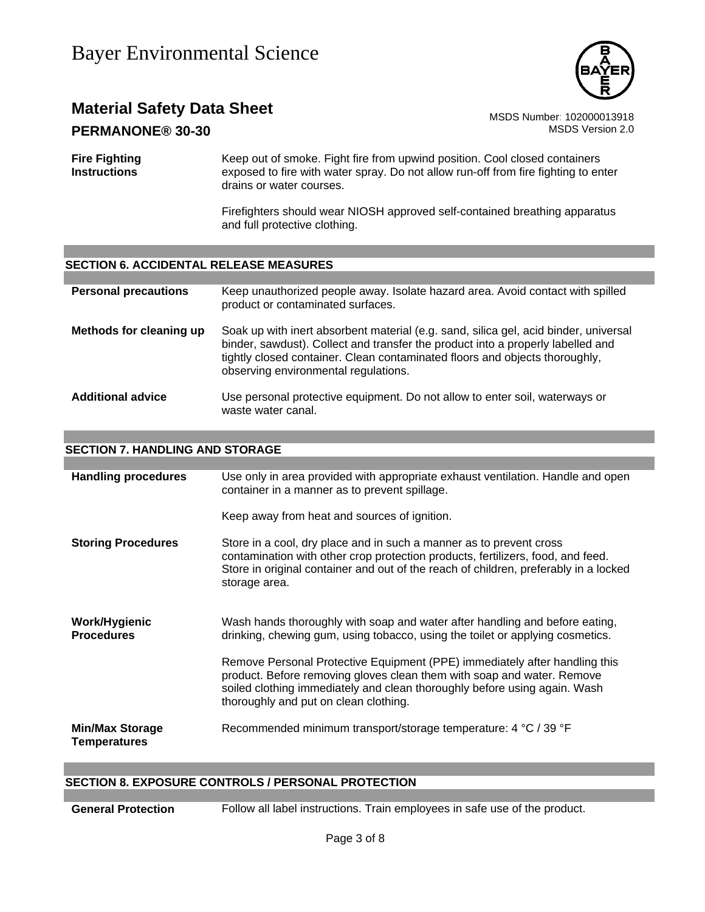

## **Material Safety Data Sheet** Material Safety Data Sheet<br>**DERMANONE® 30-30**<br>MSDS Version 2.0

### **PERMANONE® 30-30**

**Fire Fighting Instructions** Keep out of smoke. Fight fire from upwind position. Cool closed containers exposed to fire with water spray. Do not allow run-off from fire fighting to enter drains or water courses.

> Firefighters should wear NIOSH approved self-contained breathing apparatus and full protective clothing.

### **SECTION 6. ACCIDENTAL RELEASE MEASURES**

| <b>Personal precautions</b> | Keep unauthorized people away. Isolate hazard area. Avoid contact with spilled<br>product or contaminated surfaces.                                                                                                                                                                            |
|-----------------------------|------------------------------------------------------------------------------------------------------------------------------------------------------------------------------------------------------------------------------------------------------------------------------------------------|
| Methods for cleaning up     | Soak up with inert absorbent material (e.g. sand, silica gel, acid binder, universal<br>binder, sawdust). Collect and transfer the product into a properly labelled and<br>tightly closed container. Clean contaminated floors and objects thoroughly,<br>observing environmental regulations. |
| <b>Additional advice</b>    | Use personal protective equipment. Do not allow to enter soil, waterways or<br>waste water canal.                                                                                                                                                                                              |

### **SECTION 7. HANDLING AND STORAGE**

| <b>Handling procedures</b>                    | Use only in area provided with appropriate exhaust ventilation. Handle and open<br>container in a manner as to prevent spillage.                                                                                                                                           |
|-----------------------------------------------|----------------------------------------------------------------------------------------------------------------------------------------------------------------------------------------------------------------------------------------------------------------------------|
|                                               | Keep away from heat and sources of ignition.                                                                                                                                                                                                                               |
| <b>Storing Procedures</b>                     | Store in a cool, dry place and in such a manner as to prevent cross<br>contamination with other crop protection products, fertilizers, food, and feed.<br>Store in original container and out of the reach of children, preferably in a locked<br>storage area.            |
| Work/Hygienic<br><b>Procedures</b>            | Wash hands thoroughly with soap and water after handling and before eating,<br>drinking, chewing gum, using tobacco, using the toilet or applying cosmetics.                                                                                                               |
|                                               | Remove Personal Protective Equipment (PPE) immediately after handling this<br>product. Before removing gloves clean them with soap and water. Remove<br>soiled clothing immediately and clean thoroughly before using again. Wash<br>thoroughly and put on clean clothing. |
| <b>Min/Max Storage</b><br><b>Temperatures</b> | Recommended minimum transport/storage temperature: 4 °C / 39 °F                                                                                                                                                                                                            |

### **SECTION 8. EXPOSURE CONTROLS / PERSONAL PROTECTION**

**General Protection** Follow all label instructions. Train employees in safe use of the product.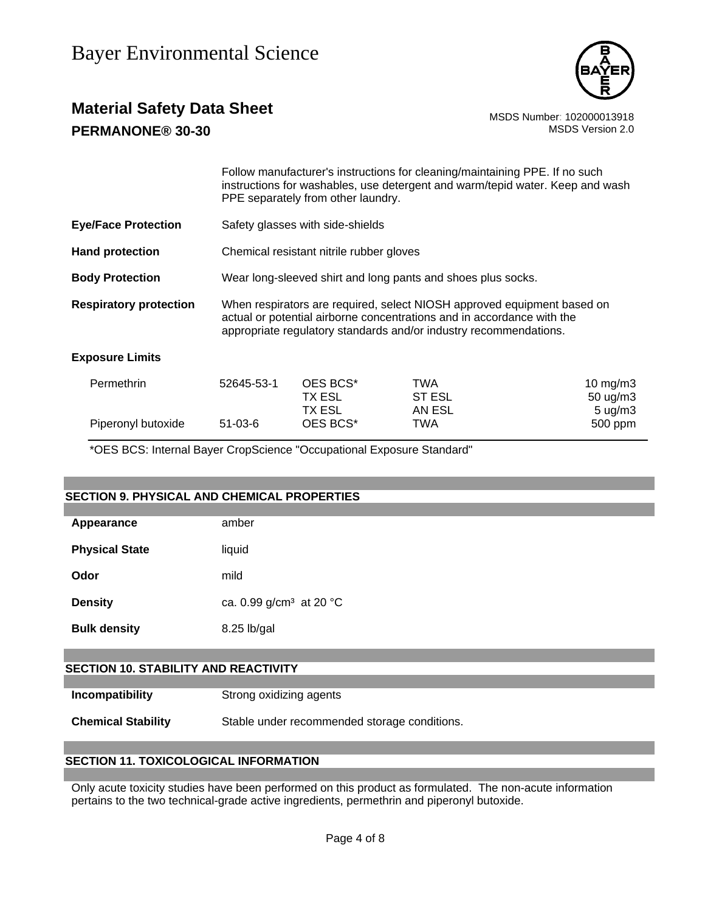

### **Material Safety Data Sheet** Material Safety Data Sheet<br>102000013918 MSDS Number: 102000013918<br>1.0 MSDS Version 2.0 **PERMANONE® 30-30**

|                               |                                                                                                                                                                                                                        | PPE separately from other laundry.                           | Follow manufacturer's instructions for cleaning/maintaining PPE. If no such<br>instructions for washables, use detergent and warm/tepid water. Keep and wash |                                           |  |
|-------------------------------|------------------------------------------------------------------------------------------------------------------------------------------------------------------------------------------------------------------------|--------------------------------------------------------------|--------------------------------------------------------------------------------------------------------------------------------------------------------------|-------------------------------------------|--|
| <b>Eye/Face Protection</b>    |                                                                                                                                                                                                                        | Safety glasses with side-shields                             |                                                                                                                                                              |                                           |  |
| <b>Hand protection</b>        |                                                                                                                                                                                                                        | Chemical resistant nitrile rubber gloves                     |                                                                                                                                                              |                                           |  |
| <b>Body Protection</b>        |                                                                                                                                                                                                                        | Wear long-sleeved shirt and long pants and shoes plus socks. |                                                                                                                                                              |                                           |  |
| <b>Respiratory protection</b> | When respirators are required, select NIOSH approved equipment based on<br>actual or potential airborne concentrations and in accordance with the<br>appropriate regulatory standards and/or industry recommendations. |                                                              |                                                                                                                                                              |                                           |  |
| <b>Exposure Limits</b>        |                                                                                                                                                                                                                        |                                                              |                                                                                                                                                              |                                           |  |
| Permethrin                    | 52645-53-1                                                                                                                                                                                                             | OES BCS*<br>TX ESL<br>TX ESL                                 | TWA<br>ST ESL<br>AN ESL                                                                                                                                      | 10 mg/m3<br>50 ug/m3<br>$5 \text{ u}g/m3$ |  |
| Piperonyl butoxide            | $51 - 03 - 6$                                                                                                                                                                                                          | OES BCS*                                                     | TWA                                                                                                                                                          | 500 ppm                                   |  |

\*OES BCS: Internal Bayer CropScience "Occupational Exposure Standard"

| <b>SECTION 9. PHYSICAL AND CHEMICAL PROPERTIES</b> |                                     |  |  |  |
|----------------------------------------------------|-------------------------------------|--|--|--|
|                                                    |                                     |  |  |  |
| Appearance                                         | amber                               |  |  |  |
| <b>Physical State</b>                              | liquid                              |  |  |  |
| Odor                                               | mild                                |  |  |  |
| <b>Density</b>                                     | ca. 0.99 g/cm <sup>3</sup> at 20 °C |  |  |  |
| <b>Bulk density</b>                                | 8.25 lb/gal                         |  |  |  |
|                                                    |                                     |  |  |  |
| <b>SECTION 10. STABILITY AND REACTIVITY</b>        |                                     |  |  |  |
|                                                    |                                     |  |  |  |
| Incompatibility                                    | Strong oxidizing agents             |  |  |  |

**Chemical Stability** Stable under recommended storage conditions.

### **SECTION 11. TOXICOLOGICAL INFORMATION**

Only acute toxicity studies have been performed on this product as formulated. The non-acute information pertains to the two technical-grade active ingredients, permethrin and piperonyl butoxide.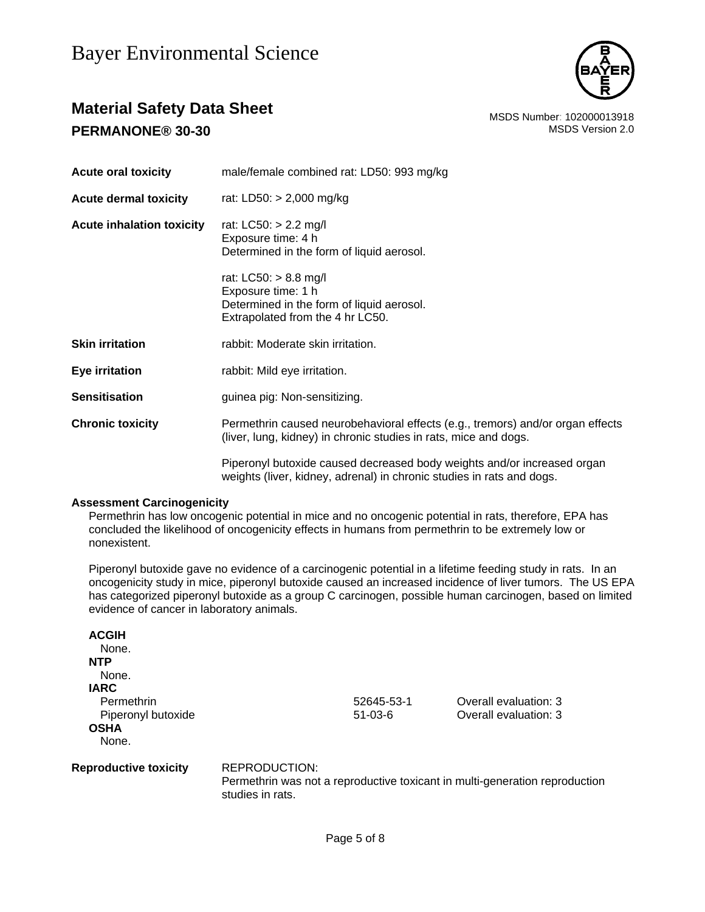

### **Material Safety Data Sheet** MSDS Number: 102000013918 **PERMANONE® 30-30** MSDS Version 2.0

| <b>Acute oral toxicity</b>       | male/female combined rat: LD50: 993 mg/kg                                                                                                          |
|----------------------------------|----------------------------------------------------------------------------------------------------------------------------------------------------|
| <b>Acute dermal toxicity</b>     | rat: LD50: > 2,000 mg/kg                                                                                                                           |
| <b>Acute inhalation toxicity</b> | rat: LC50: > 2.2 mg/l<br>Exposure time: 4 h<br>Determined in the form of liquid aerosol.                                                           |
|                                  | rat: $LC50: > 8.8$ mg/l<br>Exposure time: 1 h<br>Determined in the form of liquid aerosol.<br>Extrapolated from the 4 hr LC50.                     |
| <b>Skin irritation</b>           | rabbit: Moderate skin irritation.                                                                                                                  |
| Eye irritation                   | rabbit: Mild eye irritation.                                                                                                                       |
| <b>Sensitisation</b>             | guinea pig: Non-sensitizing.                                                                                                                       |
| <b>Chronic toxicity</b>          | Permethrin caused neurobehavioral effects (e.g., tremors) and/or organ effects<br>(liver, lung, kidney) in chronic studies in rats, mice and dogs. |
|                                  | Piperonyl butoxide caused decreased body weights and/or increased organ<br>weights (liver, kidney, adrenal) in chronic studies in rats and dogs.   |

### **Assessment Carcinogenicity**

Permethrin has low oncogenic potential in mice and no oncogenic potential in rats, therefore, EPA has concluded the likelihood of oncogenicity effects in humans from permethrin to be extremely low or nonexistent.

Piperonyl butoxide gave no evidence of a carcinogenic potential in a lifetime feeding study in rats. In an oncogenicity study in mice, piperonyl butoxide caused an increased incidence of liver tumors. The US EPA has categorized piperonyl butoxide as a group C carcinogen, possible human carcinogen, based on limited evidence of cancer in laboratory animals.

| <b>ACGIH</b>                 |                  |            |                                                                             |  |
|------------------------------|------------------|------------|-----------------------------------------------------------------------------|--|
| None.                        |                  |            |                                                                             |  |
| <b>NTP</b>                   |                  |            |                                                                             |  |
| None.                        |                  |            |                                                                             |  |
| <b>IARC</b>                  |                  |            |                                                                             |  |
| Permethrin                   |                  | 52645-53-1 | Overall evaluation: 3                                                       |  |
| Piperonyl butoxide           |                  | $51-03-6$  | Overall evaluation: 3                                                       |  |
| <b>OSHA</b>                  |                  |            |                                                                             |  |
| None.                        |                  |            |                                                                             |  |
| <b>Reproductive toxicity</b> | REPRODUCTION:    |            |                                                                             |  |
|                              | studies in rats. |            | Permethrin was not a reproductive toxicant in multi-generation reproduction |  |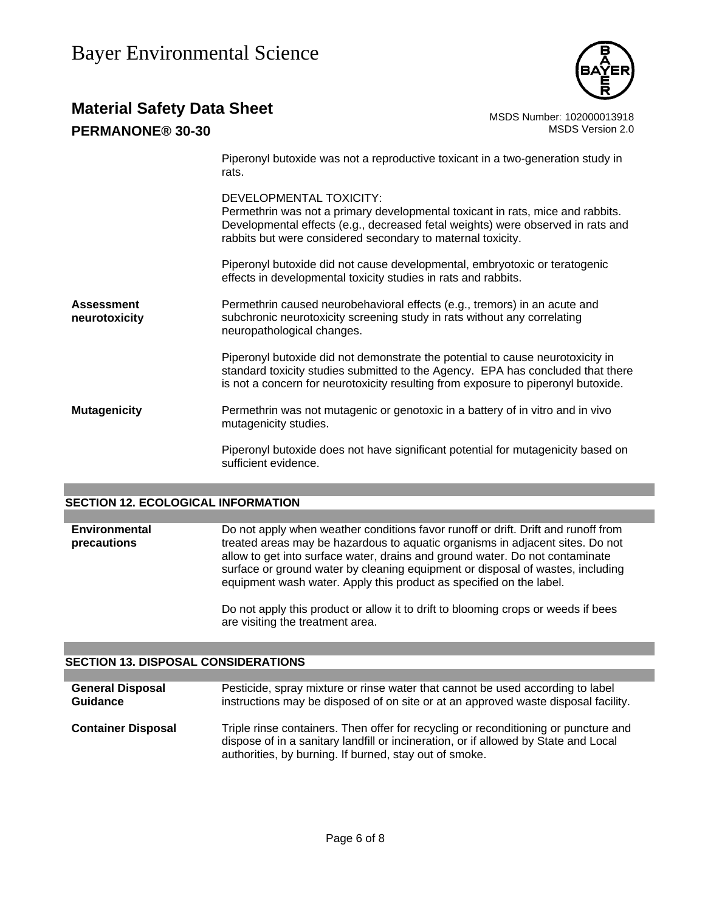# **Material Safety Data Sheet** Material Safety Data Sheet<br>102000013918 MSDS Number: 102000013918<br>1.0 MSDS Version 2.0

### **PERMANONE® 30-30**

Piperonyl butoxide was not a reproductive toxicant in a two-generation study in rats.

DEVELOPMENTAL TOXICITY:

Permethrin was not a primary developmental toxicant in rats, mice and rabbits. Developmental effects (e.g., decreased fetal weights) were observed in rats and rabbits but were considered secondary to maternal toxicity.

Piperonyl butoxide did not cause developmental, embryotoxic or teratogenic effects in developmental toxicity studies in rats and rabbits.

**Assessment neurotoxicity** Permethrin caused neurobehavioral effects (e.g., tremors) in an acute and subchronic neurotoxicity screening study in rats without any correlating neuropathological changes.

> Piperonyl butoxide did not demonstrate the potential to cause neurotoxicity in standard toxicity studies submitted to the Agency. EPA has concluded that there is not a concern for neurotoxicity resulting from exposure to piperonyl butoxide.

**Mutagenicity Permethrin was not mutagenic or genotoxic in a battery of in vitro and in vivo** mutagenicity studies.

> Piperonyl butoxide does not have significant potential for mutagenicity based on sufficient evidence.

### **SECTION 12. ECOLOGICAL INFORMATION**

**Environmental precautions**  Do not apply when weather conditions favor runoff or drift. Drift and runoff from treated areas may be hazardous to aquatic organisms in adjacent sites. Do not allow to get into surface water, drains and ground water. Do not contaminate surface or ground water by cleaning equipment or disposal of wastes, including equipment wash water. Apply this product as specified on the label.

> Do not apply this product or allow it to drift to blooming crops or weeds if bees are visiting the treatment area.

### **SECTION 13. DISPOSAL CONSIDERATIONS**

| <b>General Disposal</b><br><b>Guidance</b> | Pesticide, spray mixture or rinse water that cannot be used according to label<br>instructions may be disposed of on site or at an approved waste disposal facility.                                                                 |
|--------------------------------------------|--------------------------------------------------------------------------------------------------------------------------------------------------------------------------------------------------------------------------------------|
| <b>Container Disposal</b>                  | Triple rinse containers. Then offer for recycling or reconditioning or puncture and<br>dispose of in a sanitary landfill or incineration, or if allowed by State and Local<br>authorities, by burning. If burned, stay out of smoke. |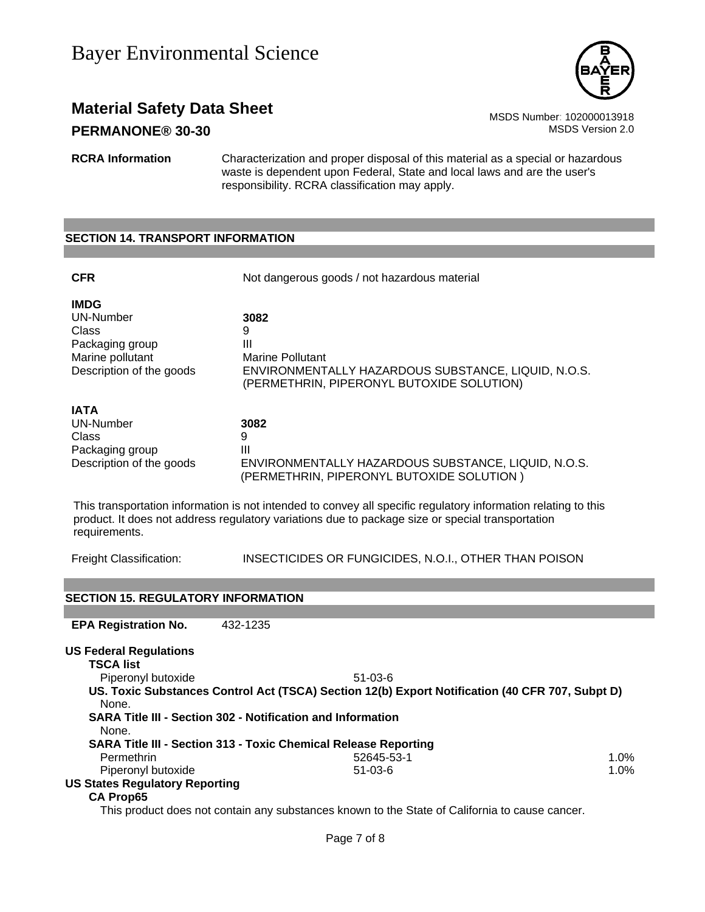

### **Material Safety Data Sheet** Material Safety Data Sheet MSDS Number: 102000013918 **PERMANONE® 30-30** MSDS Version 2.0

**RCRA Information** Characterization and proper disposal of this material as a special or hazardous waste is dependent upon Federal, State and local laws and are the user's responsibility. RCRA classification may apply.

#### **SECTION 14. TRANSPORT INFORMATION**

| <b>CFR</b>                                                                                                  | Not dangerous goods / not hazardous material                                                                                                                                                                       |
|-------------------------------------------------------------------------------------------------------------|--------------------------------------------------------------------------------------------------------------------------------------------------------------------------------------------------------------------|
| <b>IMDG</b><br><b>UN-Number</b><br>Class<br>Packaging group<br>Marine pollutant<br>Description of the goods | 3082<br>9<br>Ш<br>Marine Pollutant<br>ENVIRONMENTALLY HAZARDOUS SUBSTANCE, LIQUID, N.O.S.<br>(PERMETHRIN, PIPERONYL BUTOXIDE SOLUTION)                                                                             |
| IATA<br>UN-Number<br>Class<br>Packaging group<br>Description of the goods                                   | 3082<br>9<br>Ш<br>ENVIRONMENTALLY HAZARDOUS SUBSTANCE, LIQUID, N.O.S.<br>(PERMETHRIN, PIPERONYL BUTOXIDE SOLUTION)                                                                                                 |
| requirements.                                                                                               | This transportation information is not intended to convey all specific regulatory information relating to this<br>product. It does not address regulatory variations due to package size or special transportation |
| Freight Classification:                                                                                     | INSECTICIDES OR FUNGICIDES, N.O.I., OTHER THAN POISON                                                                                                                                                              |

#### **SECTION 15. REGULATORY INFORMATION**

**EPA Registration No.** 432-1235

**US Federal Regulations TSCA list** Piperonyl butoxide 51-03-6 **US. Toxic Substances Control Act (TSCA) Section 12(b) Export Notification (40 CFR 707, Subpt D)** None. **SARA Title III - Section 302 - Notification and Information** None. **SARA Title III - Section 313 - Toxic Chemical Release Reporting** Permethrin 52645-53-1 1.0% Piperonyl butoxide 1.0% **US States Regulatory Reporting CA Prop65**

This product does not contain any substances known to the State of California to cause cancer.